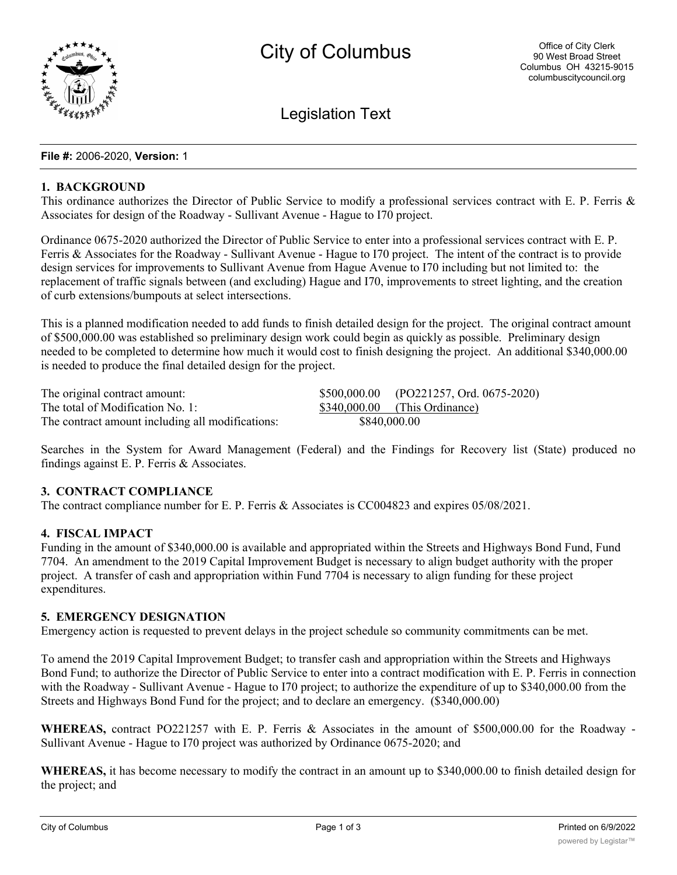

Legislation Text

#### **File #:** 2006-2020, **Version:** 1

#### **1. BACKGROUND**

This ordinance authorizes the Director of Public Service to modify a professional services contract with E. P. Ferris & Associates for design of the Roadway - Sullivant Avenue - Hague to I70 project.

Ordinance 0675-2020 authorized the Director of Public Service to enter into a professional services contract with E. P. Ferris & Associates for the Roadway - Sullivant Avenue - Hague to I70 project. The intent of the contract is to provide design services for improvements to Sullivant Avenue from Hague Avenue to I70 including but not limited to: the replacement of traffic signals between (and excluding) Hague and I70, improvements to street lighting, and the creation of curb extensions/bumpouts at select intersections.

This is a planned modification needed to add funds to finish detailed design for the project. The original contract amount of \$500,000.00 was established so preliminary design work could begin as quickly as possible. Preliminary design needed to be completed to determine how much it would cost to finish designing the project. An additional \$340,000.00 is needed to produce the final detailed design for the project.

| The original contract amount:                    |              | \$500,000.00 (PO221257, Ord. 0675-2020) |
|--------------------------------------------------|--------------|-----------------------------------------|
| The total of Modification No. 1:                 |              | $$340,000.00$ (This Ordinance)          |
| The contract amount including all modifications: | \$840,000.00 |                                         |

Searches in the System for Award Management (Federal) and the Findings for Recovery list (State) produced no findings against E. P. Ferris & Associates.

# **3. CONTRACT COMPLIANCE**

The contract compliance number for E. P. Ferris & Associates is CC004823 and expires 05/08/2021.

## **4. FISCAL IMPACT**

Funding in the amount of \$340,000.00 is available and appropriated within the Streets and Highways Bond Fund, Fund 7704. An amendment to the 2019 Capital Improvement Budget is necessary to align budget authority with the proper project. A transfer of cash and appropriation within Fund 7704 is necessary to align funding for these project expenditures.

## **5. EMERGENCY DESIGNATION**

Emergency action is requested to prevent delays in the project schedule so community commitments can be met.

To amend the 2019 Capital Improvement Budget; to transfer cash and appropriation within the Streets and Highways Bond Fund; to authorize the Director of Public Service to enter into a contract modification with E. P. Ferris in connection with the Roadway - Sullivant Avenue - Hague to I70 project; to authorize the expenditure of up to \$340,000.00 from the Streets and Highways Bond Fund for the project; and to declare an emergency. (\$340,000.00)

**WHEREAS,** contract PO221257 with E. P. Ferris & Associates in the amount of \$500,000.00 for the Roadway - Sullivant Avenue - Hague to I70 project was authorized by Ordinance 0675-2020; and

**WHEREAS,** it has become necessary to modify the contract in an amount up to \$340,000.00 to finish detailed design for the project; and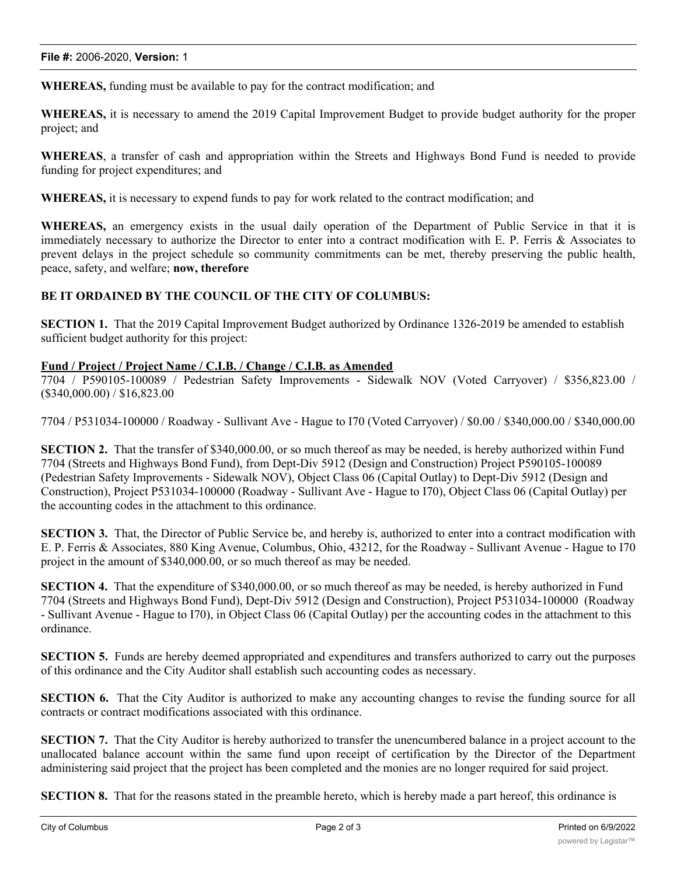**WHEREAS,** funding must be available to pay for the contract modification; and

**WHEREAS,** it is necessary to amend the 2019 Capital Improvement Budget to provide budget authority for the proper project; and

**WHEREAS**, a transfer of cash and appropriation within the Streets and Highways Bond Fund is needed to provide funding for project expenditures; and

**WHEREAS,** it is necessary to expend funds to pay for work related to the contract modification; and

**WHEREAS,** an emergency exists in the usual daily operation of the Department of Public Service in that it is immediately necessary to authorize the Director to enter into a contract modification with E. P. Ferris & Associates to prevent delays in the project schedule so community commitments can be met, thereby preserving the public health, peace, safety, and welfare; **now, therefore**

## **BE IT ORDAINED BY THE COUNCIL OF THE CITY OF COLUMBUS:**

**SECTION 1.** That the 2019 Capital Improvement Budget authorized by Ordinance 1326-2019 be amended to establish sufficient budget authority for this project:

#### **Fund / Project / Project Name / C.I.B. / Change / C.I.B. as Amended**

7704 / P590105-100089 / Pedestrian Safety Improvements - Sidewalk NOV (Voted Carryover) / \$356,823.00 / (\$340,000.00) / \$16,823.00

7704 / P531034-100000 / Roadway - Sullivant Ave - Hague to I70 (Voted Carryover) / \$0.00 / \$340,000.00 / \$340,000.00

**SECTION 2.** That the transfer of \$340,000.00, or so much thereof as may be needed, is hereby authorized within Fund 7704 (Streets and Highways Bond Fund), from Dept-Div 5912 (Design and Construction) Project P590105-100089 (Pedestrian Safety Improvements - Sidewalk NOV), Object Class 06 (Capital Outlay) to Dept-Div 5912 (Design and Construction), Project P531034-100000 (Roadway - Sullivant Ave - Hague to I70), Object Class 06 (Capital Outlay) per the accounting codes in the attachment to this ordinance.

**SECTION 3.** That, the Director of Public Service be, and hereby is, authorized to enter into a contract modification with E. P. Ferris & Associates, 880 King Avenue, Columbus, Ohio, 43212, for the Roadway - Sullivant Avenue - Hague to I70 project in the amount of \$340,000.00, or so much thereof as may be needed.

**SECTION 4.** That the expenditure of \$340,000.00, or so much thereof as may be needed, is hereby authorized in Fund 7704 (Streets and Highways Bond Fund), Dept-Div 5912 (Design and Construction), Project P531034-100000 (Roadway - Sullivant Avenue - Hague to I70), in Object Class 06 (Capital Outlay) per the accounting codes in the attachment to this ordinance.

**SECTION 5.** Funds are hereby deemed appropriated and expenditures and transfers authorized to carry out the purposes of this ordinance and the City Auditor shall establish such accounting codes as necessary.

**SECTION 6.** That the City Auditor is authorized to make any accounting changes to revise the funding source for all contracts or contract modifications associated with this ordinance.

**SECTION** 7. That the City Auditor is hereby authorized to transfer the unencumbered balance in a project account to the unallocated balance account within the same fund upon receipt of certification by the Director of the Department administering said project that the project has been completed and the monies are no longer required for said project.

**SECTION 8.** That for the reasons stated in the preamble hereto, which is hereby made a part hereof, this ordinance is